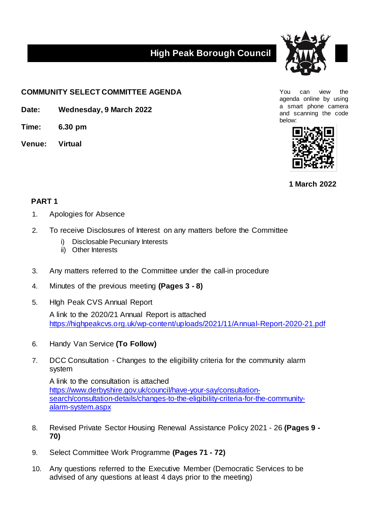## **High Peak Borough Council**



**COMMUNITY SELECT COMMITTEE AGENDA** The state of the state of the state of the state of the state of the state of the state of the state of the state of the state of the state of the state of the state of the state of the

- **Date: Wednesday, 9 March 2022**
- **Time: 6.30 pm**
- **Venue: Virtual**

agenda online by using a smart phone camera and scanning the code below:



**1 March 2022**

## **PART 1**

- 1. Apologies for Absence
- 2. To receive Disclosures of Interest on any matters before the Committee
	- i) Disclosable Pecuniary Interests
	- ii) Other Interests
- 3. Any matters referred to the Committee under the call-in procedure
- 4. Minutes of the previous meeting **(Pages 3 - 8)**
- 5. HIgh Peak CVS Annual Report A link to the 2020/21 Annual Report is attached <https://highpeakcvs.org.uk/wp-content/uploads/2021/11/Annual-Report-2020-21.pdf>
- 6. Handy Van Service **(To Follow)**
- 7. DCC Consultation Changes to the eligibility criteria for the community alarm system

A link to the consultation is attached [https://www.derbyshire.gov.uk/council/have-your-say/consultation](https://www.derbyshire.gov.uk/council/have-your-say/consultation-search/consultation-details/changes-to-the-eligibility-criteria-for-the-community-alarm-system.aspx)[search/consultation-details/changes-to-the-eligibility-criteria-for-the-community](https://www.derbyshire.gov.uk/council/have-your-say/consultation-search/consultation-details/changes-to-the-eligibility-criteria-for-the-community-alarm-system.aspx)[alarm-system.aspx](https://www.derbyshire.gov.uk/council/have-your-say/consultation-search/consultation-details/changes-to-the-eligibility-criteria-for-the-community-alarm-system.aspx)

- 8. Revised Private Sector Housing Renewal Assistance Policy 2021 26 **(Pages 9 - 70)**
- 9. Select Committee Work Programme **(Pages 71 - 72)**
- 10. Any questions referred to the Executive Member (Democratic Services to be advised of any questions at least 4 days prior to the meeting)